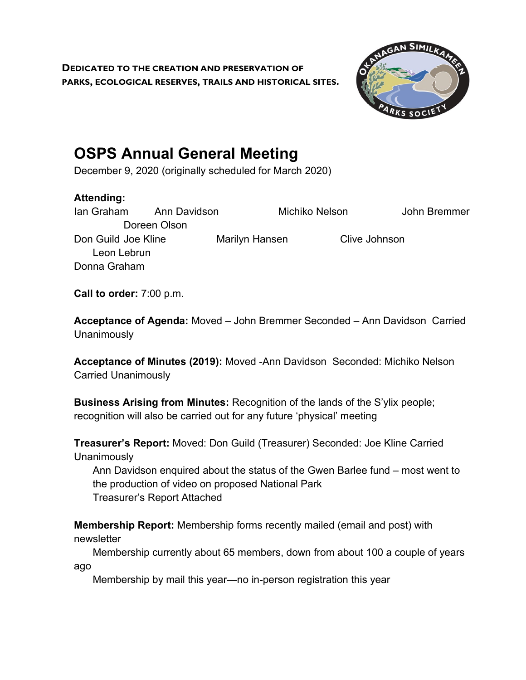**DEDICATED TO THE CREATION AND PRESERVATION OF PARKS, ECOLOGICAL RESERVES, TRAILS AND HISTORICAL SITES.**



## **OSPS Annual General Meeting**

December 9, 2020 (originally scheduled for March 2020)

## **Attending:**

Ian Graham Ann Davidson Michiko Nelson John Bremmer Doreen Olson Don Guild Joe Kline Marilyn Hansen Clive Johnson Leon Lebrun Donna Graham

**Call to order:** 7:00 p.m.

**Acceptance of Agenda:** Moved – John Bremmer Seconded – Ann Davidson Carried **Unanimously** 

**Acceptance of Minutes (2019):** Moved -Ann Davidson Seconded: Michiko Nelson Carried Unanimously

**Business Arising from Minutes:** Recognition of the lands of the S'ylix people; recognition will also be carried out for any future 'physical' meeting

**Treasurer's Report:** Moved: Don Guild (Treasurer) Seconded: Joe Kline Carried **Unanimously** 

Ann Davidson enquired about the status of the Gwen Barlee fund – most went to the production of video on proposed National Park Treasurer's Report Attached

**Membership Report:** Membership forms recently mailed (email and post) with newsletter

Membership currently about 65 members, down from about 100 a couple of years ago

Membership by mail this year—no in-person registration this year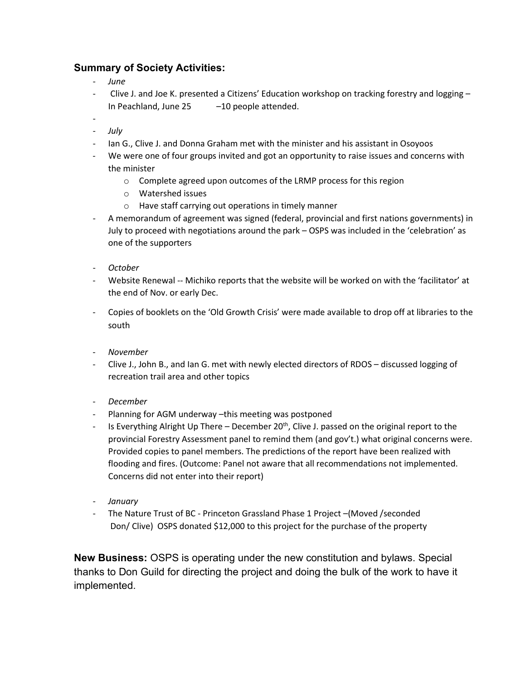## **Summary of Society Activities:**

- *June*
- Clive J. and Joe K. presented a Citizens' Education workshop on tracking forestry and logging In Peachland, June 25 –10 people attended.
- - *July*
- Ian G., Clive J. and Donna Graham met with the minister and his assistant in Osoyoos
- We were one of four groups invited and got an opportunity to raise issues and concerns with the minister
	- o Complete agreed upon outcomes of the LRMP process for this region
	- o Watershed issues
	- o Have staff carrying out operations in timely manner
- A memorandum of agreement was signed (federal, provincial and first nations governments) in July to proceed with negotiations around the park – OSPS was included in the 'celebration' as one of the supporters
- *October*
- Website Renewal -- Michiko reports that the website will be worked on with the 'facilitator' at the end of Nov. or early Dec.
- Copies of booklets on the 'Old Growth Crisis' were made available to drop off at libraries to the south
- *November*
- Clive J., John B., and Ian G. met with newly elected directors of RDOS discussed logging of recreation trail area and other topics
- *December*
- Planning for AGM underway –this meeting was postponed
- Is Everything Alright Up There December 20<sup>th</sup>, Clive J. passed on the original report to the provincial Forestry Assessment panel to remind them (and gov't.) what original concerns were. Provided copies to panel members. The predictions of the report have been realized with flooding and fires. (Outcome: Panel not aware that all recommendations not implemented. Concerns did not enter into their report)
- *January*
- The Nature Trust of BC Princeton Grassland Phase 1 Project –(Moved /seconded Don/ Clive) OSPS donated \$12,000 to this project for the purchase of the property

**New Business:** OSPS is operating under the new constitution and bylaws. Special thanks to Don Guild for directing the project and doing the bulk of the work to have it implemented.